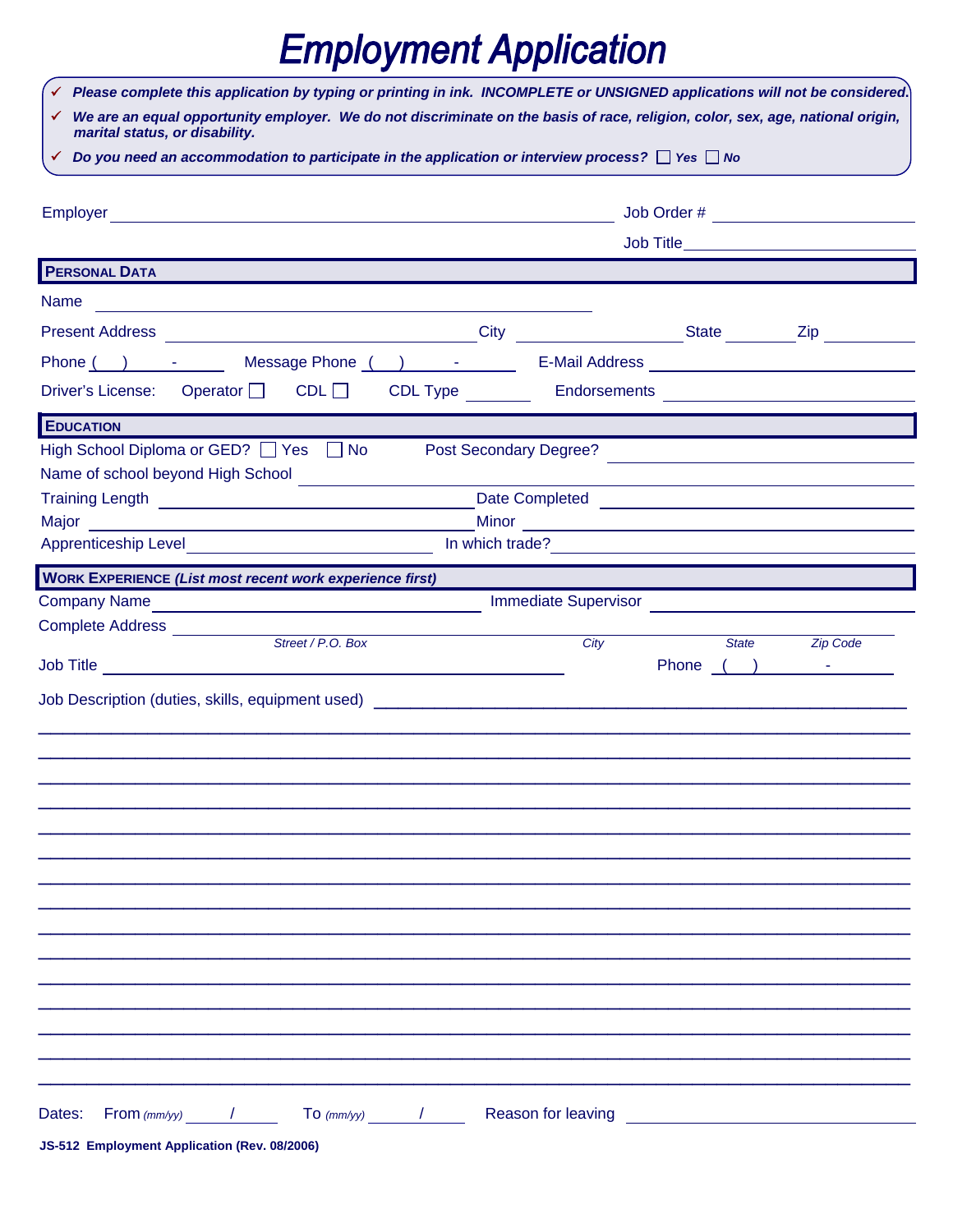## **Employment Application**

| √ Please complete this application by typing or printing in ink. INCOMPLETE or UNSIGNED applications will not be considered.                                                                                                         |                        |                    |                 |                 |  |
|--------------------------------------------------------------------------------------------------------------------------------------------------------------------------------------------------------------------------------------|------------------------|--------------------|-----------------|-----------------|--|
| √ We are an equal opportunity employer. We do not discriminate on the basis of race, religion, color, sex, age, national origin,<br>marital status, or disability.                                                                   |                        |                    |                 |                 |  |
| $\checkmark$ Do you need an accommodation to participate in the application or interview process? $\Box$ Yes $\Box$ No                                                                                                               |                        |                    |                 |                 |  |
|                                                                                                                                                                                                                                      |                        |                    |                 |                 |  |
|                                                                                                                                                                                                                                      |                        |                    |                 |                 |  |
|                                                                                                                                                                                                                                      |                        |                    |                 |                 |  |
| <b>PERSONAL DATA</b>                                                                                                                                                                                                                 |                        |                    |                 |                 |  |
| Name<br><u> 1980 - John Stein, mars and de Britain and de Britain and de Britain and de Britain and de Britain and de Br</u>                                                                                                         |                        |                    |                 |                 |  |
|                                                                                                                                                                                                                                      |                        |                    |                 |                 |  |
|                                                                                                                                                                                                                                      |                        |                    |                 |                 |  |
| Driver's License: Operator CDL CDL CDL Type _______                                                                                                                                                                                  |                        |                    |                 |                 |  |
| <b>EDUCATION</b>                                                                                                                                                                                                                     |                        |                    |                 |                 |  |
| High School Diploma or GED? Ves and No                                                                                                                                                                                               | Post Secondary Degree? |                    |                 |                 |  |
|                                                                                                                                                                                                                                      |                        |                    |                 |                 |  |
|                                                                                                                                                                                                                                      |                        |                    |                 |                 |  |
| Apprenticeship Level <b>Constant Constant Constant Constant Constant Constant Constant Constant Constant Constant Constant Constant Constant Constant Constant Constant Constant Constant Constant Constant Constant Constant Co</b> |                        |                    |                 |                 |  |
|                                                                                                                                                                                                                                      |                        |                    | In which trade? |                 |  |
| <b>WORK EXPERIENCE (List most recent work experience first)</b>                                                                                                                                                                      |                        |                    |                 |                 |  |
| Complete Address ___________                                                                                                                                                                                                         |                        |                    |                 |                 |  |
| Street / P.O. Box                                                                                                                                                                                                                    |                        | City               | State           | <b>Zip Code</b> |  |
|                                                                                                                                                                                                                                      |                        |                    |                 | Phone ( ) -     |  |
| Job Description (duties, skills, equipment used)                                                                                                                                                                                     |                        |                    |                 |                 |  |
|                                                                                                                                                                                                                                      |                        |                    |                 |                 |  |
|                                                                                                                                                                                                                                      |                        |                    |                 |                 |  |
|                                                                                                                                                                                                                                      |                        |                    |                 |                 |  |
|                                                                                                                                                                                                                                      |                        |                    |                 |                 |  |
|                                                                                                                                                                                                                                      |                        |                    |                 |                 |  |
|                                                                                                                                                                                                                                      |                        |                    |                 |                 |  |
|                                                                                                                                                                                                                                      |                        |                    |                 |                 |  |
|                                                                                                                                                                                                                                      |                        |                    |                 |                 |  |
|                                                                                                                                                                                                                                      |                        |                    |                 |                 |  |
|                                                                                                                                                                                                                                      |                        |                    |                 |                 |  |
|                                                                                                                                                                                                                                      |                        |                    |                 |                 |  |
|                                                                                                                                                                                                                                      |                        |                    |                 |                 |  |
|                                                                                                                                                                                                                                      |                        |                    |                 |                 |  |
|                                                                                                                                                                                                                                      |                        |                    |                 |                 |  |
| Dates:<br>$From (mm/yy)$ /                                                                                                                                                                                                           | $\sigma$ $(mm/yy)$ /   | Reason for leaving |                 |                 |  |
| JS-512 Employment Application (Rev. 08/2006)                                                                                                                                                                                         |                        |                    |                 |                 |  |

 $\overline{\phantom{a}}$